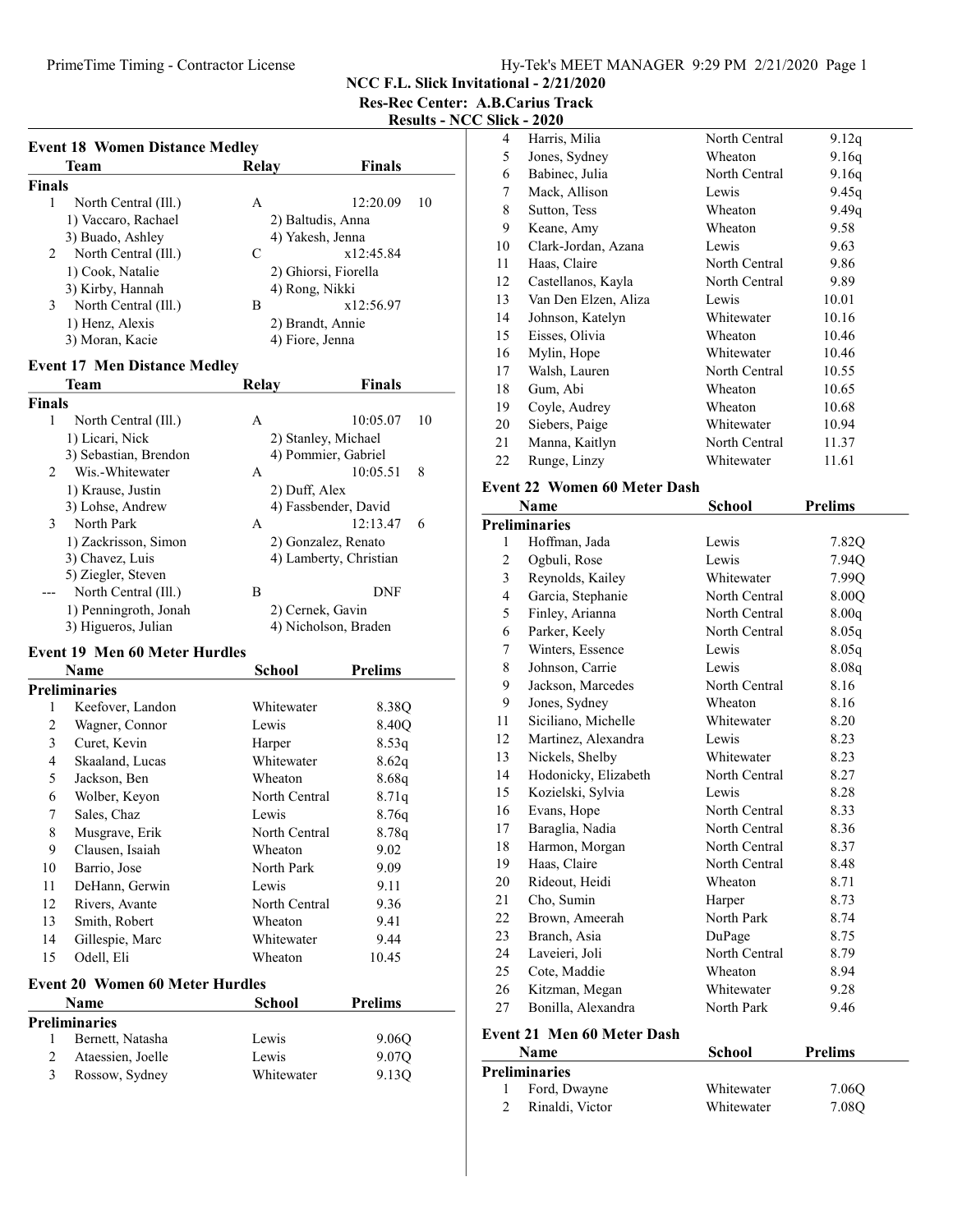### PrimeTime Timing - Contractor License Hy-Tek's MEET MANAGER 9:29 PM 2/21/2020 Page 1

NCC F.L. Slick Invitational - 2/21/2020

Res-Rec Center: A.B.Carius Track

# Results - NCC Slick - 2020

| <b>Team</b>               | Relay           | <b>Finals</b>        |
|---------------------------|-----------------|----------------------|
| Finals                    |                 |                      |
| North Central (Ill.)<br>1 | A               | 12:20.09<br>10       |
| 1) Vaccaro, Rachael       |                 | 2) Baltudis, Anna    |
| 3) Buado, Ashley          |                 | 4) Yakesh, Jenna     |
| North Central (Ill.)<br>2 | C               | x12:45.84            |
| 1) Cook, Natalie          |                 | 2) Ghiorsi, Fiorella |
| 3) Kirby, Hannah          | 4) Rong, Nikki  |                      |
| 3<br>North Central (Ill.) | B               | x12:56.97            |
| 1) Henz, Alexis           |                 | 2) Brandt, Annie     |
| 3) Moran, Kacie           | 4) Fiore, Jenna |                      |

#### Event 17 Men Distance Medley

| <b>Team</b>               | Relav            | <b>Finals</b>          |  |
|---------------------------|------------------|------------------------|--|
| Finals                    |                  |                        |  |
| 1<br>North Central (Ill.) | A                | 10:05.07<br>10         |  |
| 1) Licari, Nick           |                  | 2) Stanley, Michael    |  |
| 3) Sebastian, Brendon     |                  | 4) Pommier, Gabriel    |  |
| Wis.-Whitewater<br>2      | A                | 10:05.51<br>8          |  |
| 1) Krause, Justin         | 2) Duff, Alex    |                        |  |
| 3) Lohse, Andrew          |                  | 4) Fassbender, David   |  |
| North Park<br>3           | A                | 12:13.47<br>6          |  |
| 1) Zackrisson, Simon      |                  | 2) Gonzalez, Renato    |  |
| 3) Chavez, Luis           |                  | 4) Lamberty, Christian |  |
| 5) Ziegler, Steven        |                  |                        |  |
| North Central (Ill.)      | B                | DNF                    |  |
| 1) Penningroth, Jonah     | 2) Cernek, Gavin |                        |  |
| 3) Higueros, Julian       |                  | 4) Nicholson, Braden   |  |
|                           |                  |                        |  |

## Event 19 Men 60 Meter Hurdles

|    | Name                 | School        | <b>Prelims</b> |  |
|----|----------------------|---------------|----------------|--|
|    | <b>Preliminaries</b> |               |                |  |
| 1  | Keefover, Landon     | Whitewater    | 8.38Q          |  |
| 2  | Wagner, Connor       | Lewis         | 8.40O          |  |
| 3  | Curet, Kevin         | Harper        | 8.53q          |  |
| 4  | Skaaland, Lucas      | Whitewater    | 8.62q          |  |
| 5  | Jackson, Ben         | Wheaton       | 8.68q          |  |
| 6  | Wolber, Keyon        | North Central | 8.71q          |  |
| 7  | Sales, Chaz          | Lewis         | 8.76q          |  |
| 8  | Musgrave, Erik       | North Central | 8.78q          |  |
| 9  | Clausen, Isaiah      | Wheaton       | 9.02           |  |
| 10 | Barrio, Jose         | North Park    | 9.09           |  |
| 11 | DeHann, Gerwin       | Lewis         | 9.11           |  |
| 12 | Rivers, Avante       | North Central | 9.36           |  |
| 13 | Smith, Robert        | Wheaton       | 9.41           |  |
| 14 | Gillespie, Marc      | Whitewater    | 9.44           |  |
| 15 | Odell, Eli           | Wheaton       | 10.45          |  |
|    |                      |               |                |  |

# Event 20 Women 60 Meter Hurdles

|             | <b>Name</b>       | School     | <b>Prelims</b> |
|-------------|-------------------|------------|----------------|
|             | Preliminaries     |            |                |
|             | Bernett, Natasha  | Lewis      | 9.06O          |
| $2^{\circ}$ | Ataessien, Joelle | Lewis      | 9.07Q          |
| 3           | Rossow, Sydney    | Whitewater | 9.130          |

| 4  | Harris, Milia        | North Central | 9.12q |
|----|----------------------|---------------|-------|
| 5  | Jones, Sydney        | Wheaton       | 9.16q |
| 6  | Babinec, Julia       | North Central | 9.16q |
| 7  | Mack, Allison        | Lewis         | 9.45q |
| 8  | Sutton, Tess         | Wheaton       | 9.49q |
| 9  | Keane, Amy           | Wheaton       | 9.58  |
| 10 | Clark-Jordan, Azana  | Lewis         | 9.63  |
| 11 | Haas, Claire         | North Central | 9.86  |
| 12 | Castellanos, Kayla   | North Central | 9.89  |
| 13 | Van Den Elzen, Aliza | Lewis         | 10.01 |
| 14 | Johnson, Katelyn     | Whitewater    | 10.16 |
| 15 | Eisses, Olivia       | Wheaton       | 10.46 |
| 16 | Mylin, Hope          | Whitewater    | 10.46 |
| 17 | Walsh, Lauren        | North Central | 10.55 |
| 18 | Gum, Abi             | Wheaton       | 10.65 |
| 19 | Coyle, Audrey        | Wheaton       | 10.68 |
| 20 | Siebers, Paige       | Whitewater    | 10.94 |
| 21 | Manna, Kaitlyn       | North Central | 11.37 |
| 22 | Runge, Linzy         | Whitewater    | 11.61 |

### Event 22 Women 60 Meter Dash

|                | Name                 | School        | <b>Prelims</b> |
|----------------|----------------------|---------------|----------------|
|                | <b>Preliminaries</b> |               |                |
| 1              | Hoffman, Jada        | Lewis         | 7.82Q          |
| $\overline{c}$ | Ogbuli, Rose         | Lewis         | 7.94Q          |
| 3              | Reynolds, Kailey     | Whitewater    | 7.99O          |
| $\overline{4}$ | Garcia, Stephanie    | North Central | 8.00Q          |
| 5              | Finley, Arianna      | North Central | 8.00q          |
| 6              | Parker, Keely        | North Central | 8.05q          |
| 7              | Winters, Essence     | Lewis         | 8.05q          |
| 8              | Johnson, Carrie      | Lewis         | 8.08q          |
| 9              | Jackson, Marcedes    | North Central | 8.16           |
| 9              | Jones, Sydney        | Wheaton       | 8.16           |
| 11             | Siciliano, Michelle  | Whitewater    | 8.20           |
| 12             | Martinez, Alexandra  | Lewis         | 8.23           |
| 13             | Nickels, Shelby      | Whitewater    | 8.23           |
| 14             | Hodonicky, Elizabeth | North Central | 8.27           |
| 15             | Kozielski, Sylvia    | Lewis         | 8.28           |
| 16             | Evans, Hope          | North Central | 8.33           |
| 17             | Baraglia, Nadia      | North Central | 8.36           |
| 18             | Harmon, Morgan       | North Central | 8.37           |
| 19             | Haas, Claire         | North Central | 8.48           |
| 20             | Rideout, Heidi       | Wheaton       | 8.71           |
| 21             | Cho, Sumin           | Harper        | 8.73           |
| 22             | Brown, Ameerah       | North Park    | 8.74           |
| 23             | Branch, Asia         | DuPage        | 8.75           |
| 24             | Laveieri, Joli       | North Central | 8.79           |
| 25             | Cote, Maddie         | Wheaton       | 8.94           |
| 26             | Kitzman, Megan       | Whitewater    | 9.28           |
| 27             | Bonilla, Alexandra   | North Park    | 9.46           |

#### Event 21 Men 60 Meter Dash

| <b>Name</b>          | School     | <b>Prelims</b> |  |
|----------------------|------------|----------------|--|
| <b>Preliminaries</b> |            |                |  |
| Ford, Dwayne         | Whitewater | 7.060          |  |
| Rinaldi, Victor      | Whitewater | 7.08O          |  |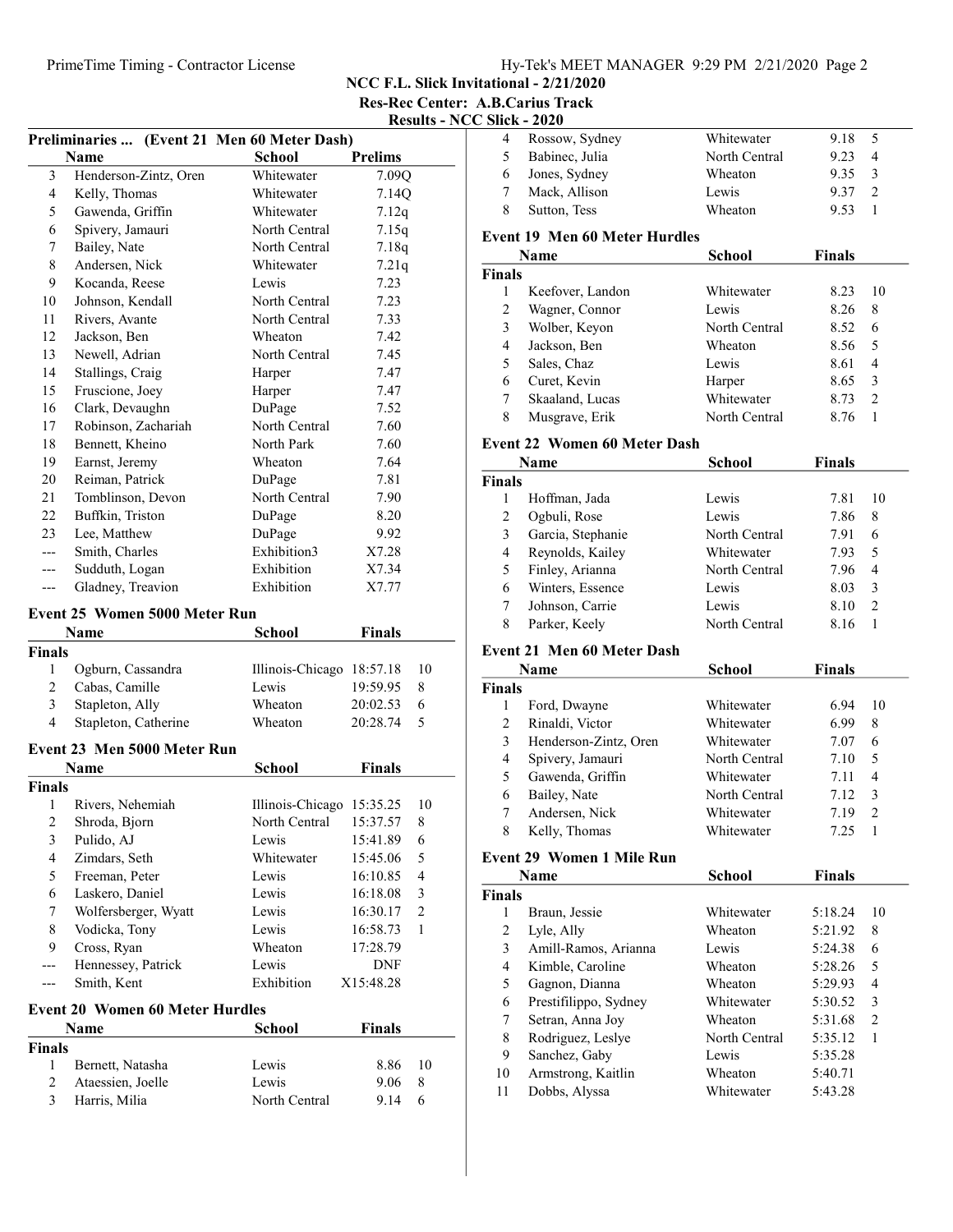NCC F.L. Slick Invitational - 2/21/2020

Res-Rec Center: A.B.Carius Track Results - NCC Slick - 2020

|                         | Preliminaries  (Event 21 Men 60 Meter Dash) |                           |                |                         |
|-------------------------|---------------------------------------------|---------------------------|----------------|-------------------------|
|                         | <b>Name</b>                                 | <b>School</b>             | <b>Prelims</b> |                         |
| 3                       | Henderson-Zintz, Oren                       | Whitewater                | 7.09Q          |                         |
| $\overline{4}$          | Kelly, Thomas                               | Whitewater                | 7.14Q          |                         |
| 5                       | Gawenda, Griffin                            | Whitewater                | 7.12q          |                         |
| 6                       | Spivery, Jamauri                            | North Central             | 7.15q          |                         |
| 7                       | Bailey, Nate                                | North Central             | 7.18q          |                         |
| 8                       | Andersen, Nick                              | Whitewater                | 7.21q          |                         |
| 9                       | Kocanda, Reese                              | Lewis                     | 7.23           |                         |
| 10                      | Johnson, Kendall                            | North Central             | 7.23           |                         |
| 11                      | Rivers, Avante                              | North Central             | 7.33           |                         |
| 12                      | Jackson, Ben                                | Wheaton                   | 7.42           |                         |
| 13                      | Newell, Adrian                              | North Central             | 7.45           |                         |
| 14                      | Stallings, Craig                            | Harper                    | 7.47           |                         |
| 15                      | Fruscione, Joey                             | Harper                    | 7.47           |                         |
| 16                      | Clark, Devaughn                             | DuPage                    | 7.52           |                         |
| 17                      | Robinson, Zachariah                         | North Central             | 7.60           |                         |
| 18                      | Bennett, Kheino                             | North Park                | 7.60           |                         |
| 19                      | Earnst, Jeremy                              | Wheaton                   | 7.64           |                         |
| 20                      | Reiman, Patrick                             | DuPage                    | 7.81           |                         |
| 21                      | Tomblinson, Devon                           | North Central             | 7.90           |                         |
| 22                      | Buffkin, Triston                            | DuPage                    | 8.20           |                         |
| 23                      | Lee, Matthew                                | DuPage                    | 9.92           |                         |
| $---$                   | Smith, Charles                              | Exhibition3               | X7.28          |                         |
| ---                     | Sudduth, Logan                              | Exhibition                | X7.34          |                         |
| $---$                   | Gladney, Treavion                           | Exhibition                | X7.77          |                         |
|                         |                                             |                           |                |                         |
|                         | Event 25 Women 5000 Meter Run               |                           |                |                         |
|                         | Name                                        | <b>School</b>             | <b>Finals</b>  |                         |
| Finals                  |                                             |                           |                |                         |
| 1                       | Ogburn, Cassandra                           | Illinois-Chicago 18:57.18 |                | 10                      |
| $\overline{2}$          | Cabas, Camille                              | Lewis                     | 19:59.95       | 8                       |
| 3                       | Stapleton, Ally                             | Wheaton                   | 20:02.53       | 6                       |
| 4                       | Stapleton, Catherine                        | Wheaton                   | 20:28.74       | 5                       |
|                         | Event 23 Men 5000 Meter Run                 |                           |                |                         |
|                         | Name                                        | <b>School</b>             | <b>Finals</b>  |                         |
| <b>Finals</b>           |                                             |                           |                |                         |
| 1                       | Rivers, Nehemiah                            | Illinois-Chicago 15:35.25 |                | 10                      |
| $\overline{2}$          | Shroda, Bjorn                               | North Central             | 15:37.57       | 8                       |
| $\mathfrak{Z}$          | Pulido, AJ                                  | Lewis                     | 15:41.89       | 6                       |
| $\overline{\mathbf{4}}$ | Zimdars, Seth                               | Whitewater                | 15:45.06       | 5                       |
| 5                       | Freeman, Peter                              | Lewis                     | 16:10.85       | $\overline{\mathbf{4}}$ |
| 6                       | Laskero, Daniel                             | Lewis                     | 16:18.08       | $\mathfrak{Z}$          |
| 7                       | Wolfersberger, Wyatt                        | Lewis                     | 16:30.17       | $\sqrt{2}$              |
| 8                       | Vodicka, Tony                               | Lewis                     | 16:58.73       | 1                       |
| 9                       | Cross, Ryan                                 | Wheaton                   | 17:28.79       |                         |
| ---                     | Hennessey, Patrick                          | Lewis                     | DNF            |                         |
| ---                     | Smith, Kent                                 | Exhibition                | X15:48.28      |                         |
|                         | <b>Event 20 Women 60 Meter Hurdles</b>      |                           |                |                         |
|                         | Name                                        | <b>School</b>             | <b>Finals</b>  |                         |
| Finals                  |                                             |                           |                |                         |
| $\mathbf{1}$            | Bernett, Natasha                            | Lewis                     | 8.86           | 10                      |
| $\mathfrak{2}$          |                                             |                           |                |                         |
|                         |                                             |                           |                |                         |
| 3                       | Ataessien, Joelle<br>Harris, Milia          | Lewis<br>North Central    | 9.06<br>9.14   | 8<br>6                  |

| Rossow, Sydney | Whitewater    | 9.18 | - 5            |  |
|----------------|---------------|------|----------------|--|
| Babinec, Julia | North Central | 9.23 | $\overline{4}$ |  |
| Jones, Sydney  | Wheaton       | 9.35 | $\mathcal{R}$  |  |
| Mack, Allison  | Lewis         | 9.37 |                |  |
| Sutton, Tess   | Wheaton       | 9.53 |                |  |

### Event 19 Men 60 Meter Hurdles

|               | <b>Name</b>      | School        | <b>Finals</b> |               |
|---------------|------------------|---------------|---------------|---------------|
| <b>Finals</b> |                  |               |               |               |
|               | Keefover, Landon | Whitewater    | 8.23          | 10            |
| 2             | Wagner, Connor   | Lewis         | 8.26          | 8             |
| 3             | Wolber, Keyon    | North Central | 8.52          | 6             |
| 4             | Jackson, Ben     | Wheaton       | 8.56          | 5             |
| 5             | Sales, Chaz      | Lewis         | 8.61          | 4             |
| 6             | Curet, Kevin     | Harper        | 8.65          | 3             |
|               | Skaaland, Lucas  | Whitewater    | 8.73          | $\mathcal{D}$ |
| 8             | Musgrave, Erik   | North Central | 8.76          |               |

#### Event 22 Women 60 Meter Dash

|               | Name              | School        | <b>Finals</b> |               |
|---------------|-------------------|---------------|---------------|---------------|
| <b>Finals</b> |                   |               |               |               |
|               | Hoffman, Jada     | Lewis         | 7.81          | 10            |
| 2             | Ogbuli, Rose      | Lewis         | 7.86          | 8             |
| 3             | Garcia, Stephanie | North Central | 7.91          | 6             |
| 4             | Reynolds, Kailey  | Whitewater    | 7.93          | 5             |
| 5             | Finley, Arianna   | North Central | 7.96          | 4             |
| 6             | Winters, Essence  | Lewis         | 8.03          | 3             |
| 7             | Johnson, Carrie   | Lewis         | 8.10          | $\mathcal{P}$ |
| 8             | Parker, Keely     | North Central | 8.16          |               |

## Event 21 Men 60 Meter Dash

|               | Name                  | School        | <b>Finals</b> |                |
|---------------|-----------------------|---------------|---------------|----------------|
| <b>Finals</b> |                       |               |               |                |
|               | Ford, Dwayne          | Whitewater    | 6.94          | 10             |
| 2             | Rinaldi, Victor       | Whitewater    | 6.99          | 8              |
| 3             | Henderson-Zintz, Oren | Whitewater    | 7.07          | 6              |
| 4             | Spivery, Jamauri      | North Central | 7.10          | 5              |
| 5             | Gawenda, Griffin      | Whitewater    | 7.11          | $\overline{4}$ |
| 6             | Bailey, Nate          | North Central | 7.12          | $\mathcal{E}$  |
|               | Andersen, Nick        | Whitewater    | 7.19          | $\mathcal{P}$  |
| 8             | Kelly, Thomas         | Whitewater    | 725           |                |

## Event 29 Women 1 Mile Run

|               | Event 29 Women 1 Mile Run |               |               |               |  |
|---------------|---------------------------|---------------|---------------|---------------|--|
|               | Name                      | School        | <b>Finals</b> |               |  |
| <b>Finals</b> |                           |               |               |               |  |
| 1             | Braun, Jessie             | Whitewater    | 5:18.24       | 10            |  |
| 2             | Lyle, Ally                | Wheaton       | 5:21.92       | 8             |  |
| 3             | Amill-Ramos, Arianna      | Lewis         | 5:24.38       | 6             |  |
| 4             | Kimble, Caroline          | Wheaton       | 5:28.26       | 5             |  |
| 5             | Gagnon, Dianna            | Wheaton       | 5:29.93       | 4             |  |
| 6             | Prestifilippo, Sydney     | Whitewater    | 5:30.52       | 3             |  |
| 7             | Setran, Anna Joy          | Wheaton       | 5:31.68       | $\mathcal{L}$ |  |
| 8             | Rodriguez, Leslye         | North Central | 5:35.12       | 1             |  |
| 9             | Sanchez, Gaby             | Lewis         | 5:35.28       |               |  |
| 10            | Armstrong, Kaitlin        | Wheaton       | 5:40.71       |               |  |
| 11            | Dobbs, Alyssa             | Whitewater    | 5:43.28       |               |  |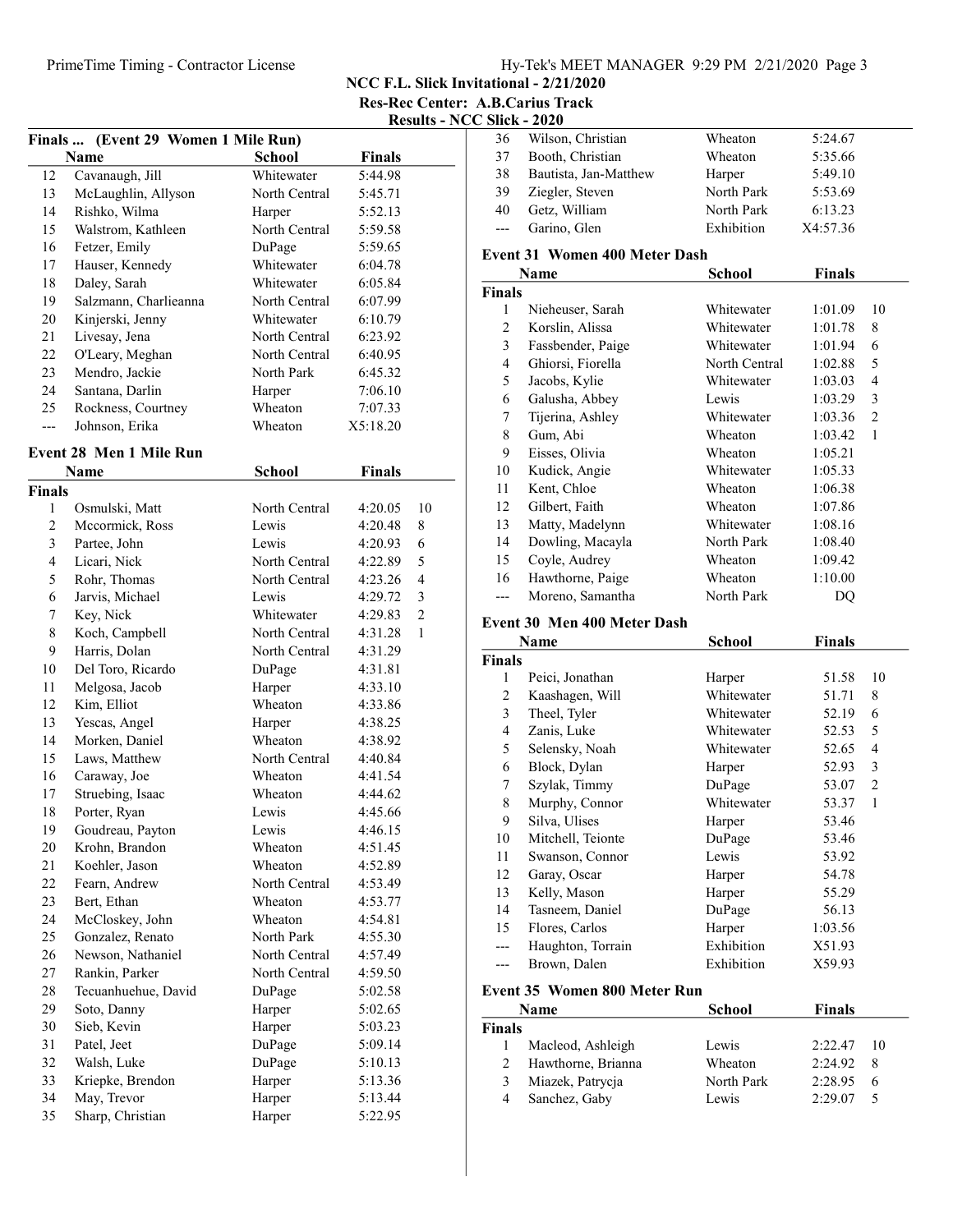NCC F.L. Slick Invitational - 2/21/2020

Res-Rec Center: A.B.Carius Track Results - NCC S

|                | Finals  (Event 29 Women 1 Mile Run) |               |               |                |
|----------------|-------------------------------------|---------------|---------------|----------------|
|                | Name                                | <b>School</b> | <b>Finals</b> |                |
| 12             | Cavanaugh, Jill                     | Whitewater    | 5:44.98       |                |
| 13             | McLaughlin, Allyson                 | North Central | 5:45.71       |                |
| 14             | Rishko, Wilma                       | Harper        | 5:52.13       |                |
| 15             | Walstrom, Kathleen                  | North Central | 5:59.58       |                |
| 16             | Fetzer, Emily                       | DuPage        | 5:59.65       |                |
| 17             | Hauser, Kennedy                     | Whitewater    | 6:04.78       |                |
| 18             | Daley, Sarah                        | Whitewater    | 6:05.84       |                |
| 19             | Salzmann, Charlieanna               | North Central | 6:07.99       |                |
| 20             | Kinjerski, Jenny                    | Whitewater    | 6:10.79       |                |
| 21             | Livesay, Jena                       | North Central | 6:23.92       |                |
| 22             | O'Leary, Meghan                     | North Central | 6:40.95       |                |
| 23             | Mendro, Jackie                      | North Park    | 6:45.32       |                |
| 24             | Santana, Darlin                     | Harper        | 7:06.10       |                |
| 25             | Rockness, Courtney                  | Wheaton       | 7:07.33       |                |
| ---            | Johnson, Erika                      | Wheaton       | X5:18.20      |                |
|                |                                     |               |               |                |
|                | Event 28 Men 1 Mile Run             |               |               |                |
|                | <b>Name</b>                         | <b>School</b> | <b>Finals</b> |                |
| Finals         |                                     |               |               |                |
| 1              | Osmulski, Matt                      | North Central | 4:20.05       | 10             |
| $\mathfrak{2}$ | Mccormick, Ross                     | Lewis         | 4:20.48       | 8              |
| 3              | Partee, John                        | Lewis         | 4:20.93       | 6              |
| $\overline{4}$ | Licari, Nick                        | North Central | 4:22.89       | 5              |
| 5              | Rohr, Thomas                        | North Central | 4:23.26       | $\overline{4}$ |
| 6              | Jarvis, Michael                     | Lewis         | 4:29.72       | 3              |
| 7              | Key, Nick                           | Whitewater    | 4:29.83       | $\overline{2}$ |
| 8              | Koch, Campbell                      | North Central | 4:31.28       | 1              |
| 9              | Harris, Dolan                       | North Central | 4:31.29       |                |
| 10             | Del Toro, Ricardo                   | DuPage        | 4:31.81       |                |
| 11             | Melgosa, Jacob                      | Harper        | 4:33.10       |                |
| 12             | Kim, Elliot                         | Wheaton       | 4:33.86       |                |
| 13             | Yescas, Angel                       | Harper        | 4:38.25       |                |
| 14             | Morken, Daniel                      | Wheaton       | 4:38.92       |                |
| 15             | Laws, Matthew                       | North Central | 4:40.84       |                |
| 16             | Caraway, Joe                        | Wheaton       | 4:41.54       |                |
| 17             | Struebing, Isaac                    | Wheaton       | 4:44.62       |                |
| 18             | Porter, Ryan                        | Lewis         | 4:45.66       |                |
| 19             | Goudreau, Payton                    | Lewis         | 4:46.15       |                |
| 20             | Krohn, Brandon                      | Wheaton       | 4:51.45       |                |
| 21             | Koehler, Jason                      | Wheaton       | 4:52.89       |                |
| 22             | Fearn, Andrew                       | North Central | 4:53.49       |                |
| 23             | Bert, Ethan                         | Wheaton       | 4:53.77       |                |
| 24             | McCloskey, John                     | Wheaton       | 4:54.81       |                |
| 25             | Gonzalez, Renato                    | North Park    | 4:55.30       |                |
| 26             | Newson, Nathaniel                   | North Central | 4:57.49       |                |
| 27             | Rankin, Parker                      | North Central | 4:59.50       |                |
| 28             | Tecuanhuehue, David                 | DuPage        | 5:02.58       |                |
| 29             | Soto, Danny                         | Harper        | 5:02.65       |                |
| 30             | Sieb, Kevin                         | Harper        | 5:03.23       |                |
| 31             | Patel, Jeet                         | DuPage        | 5:09.14       |                |
| 32             | Walsh, Luke                         | DuPage        | 5:10.13       |                |
| 33             | Kriepke, Brendon                    | Harper        | 5:13.36       |                |
| 34             | May, Trevor                         | Harper        | 5:13.44       |                |
| 35             | Sharp, Christian                    | Harper        | 5:22.95       |                |

|                | <b>Slick - 2020</b>                  |               |               |                |
|----------------|--------------------------------------|---------------|---------------|----------------|
| 36             | Wilson, Christian                    | Wheaton       | 5:24.67       |                |
| 37             | Booth, Christian                     | Wheaton       | 5:35.66       |                |
| 38             | Bautista, Jan-Matthew                | Harper        | 5:49.10       |                |
| 39             | Ziegler, Steven                      | North Park    | 5:53.69       |                |
| 40             | Getz, William                        | North Park    | 6:13.23       |                |
| $---$          | Garino, Glen                         | Exhibition    | X4:57.36      |                |
|                | <b>Event 31 Women 400 Meter Dash</b> |               |               |                |
|                | Name                                 | <b>School</b> | <b>Finals</b> |                |
| <b>Finals</b>  |                                      |               |               |                |
| 1              | Nieheuser, Sarah                     | Whitewater    | 1:01.09       | 10             |
| 2              | Korslin, Alissa                      | Whitewater    | 1:01.78       | 8              |
| 3              | Fassbender, Paige                    | Whitewater    | 1:01.94       | 6              |
| 4              | Ghiorsi, Fiorella                    | North Central | 1:02.88       | 5              |
| 5              | Jacobs, Kylie                        | Whitewater    | 1:03.03       | 4              |
| 6              | Galusha, Abbey                       | Lewis         | 1:03.29       | 3              |
| 7              | Tijerina, Ashley                     | Whitewater    | 1:03.36       | $\overline{c}$ |
| 8              | Gum, Abi                             | Wheaton       | 1:03.42       | 1              |
| 9              | Eisses, Olivia                       | Wheaton       | 1:05.21       |                |
| 10             | Kudick, Angie                        | Whitewater    | 1:05.33       |                |
| 11             | Kent, Chloe                          | Wheaton       | 1:06.38       |                |
| 12             | Gilbert, Faith                       | Wheaton       | 1:07.86       |                |
| 13             | Matty, Madelynn                      | Whitewater    | 1:08.16       |                |
| 14             | Dowling, Macayla                     | North Park    | 1:08.40       |                |
| 15             | Coyle, Audrey                        | Wheaton       | 1:09.42       |                |
| 16             | Hawthorne, Paige                     | Wheaton       | 1:10.00       |                |
| $---$          | Moreno, Samantha                     | North Park    | DQ            |                |
|                | Event 30 Men 400 Meter Dash          |               |               |                |
|                | Name                                 | <b>School</b> | <b>Finals</b> |                |
| <b>Finals</b>  |                                      |               |               |                |
| 1              | Peici, Jonathan                      | Harper        | 51.58         | 10             |
| 2              | Kaashagen, Will                      | Whitewater    | 51.71         | 8              |
| $\mathfrak{Z}$ | Theel, Tyler                         | Whitewater    | 52.19         | 6              |
| 4              | Zanis, Luke                          | Whitewater    | 52.53         | 5              |
| 5              | Selensky, Noah                       | Whitewater    | 52.65         | $\overline{4}$ |
| 6              | Block, Dylan                         | Harper        | 52.93         | 3              |
| 7              | Szylak, Timmy                        | DuPage        | 53.07         | $\overline{c}$ |
| 8              | Murphy, Connor                       | Whitewater    | 53.37         | 1              |
| 9              | Silva, Ulises                        | Harper        | 53.46         |                |
| 10             | Mitchell, Teionte                    | DuPage        | 53.46         |                |
| 11             | Swanson, Connor                      | Lewis         | 53.92         |                |
| 12             | Garay, Oscar                         | Harper        | 54.78         |                |

### 13 Kelly, Mason Harper 55.29 14 Tasneem, Daniel DuPage 56.13 15 1:03.56 Flores, Carlos Harper --- Haughton, Torrain Exhibition X51.93<br>--- Brown, Dalen Exhibition X59.93 --- Brown, Dalen Exhibition X59.93

#### Event 35 Women 800 Meter Run

|               | Name               | School     | Finals  |     |
|---------------|--------------------|------------|---------|-----|
| <b>Finals</b> |                    |            |         |     |
|               | Macleod, Ashleigh  | Lewis      | 2:22.47 | -10 |
| 2             | Hawthorne, Brianna | Wheaton    | 2:24.92 | 8   |
| 3             | Miazek, Patrycja   | North Park | 2:28.95 |     |
| 4             | Sanchez, Gaby      | Lewis      | 2:29.07 |     |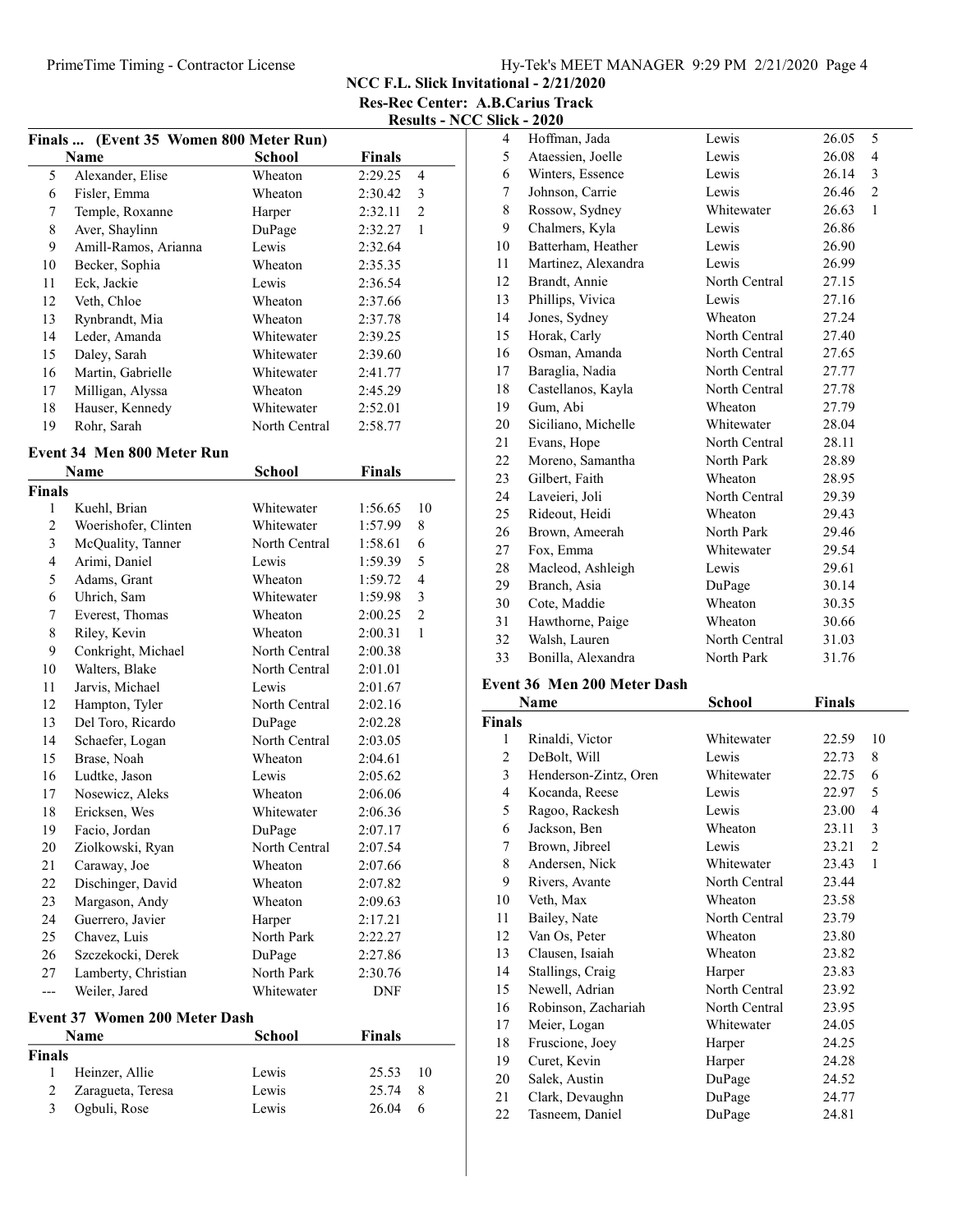# PrimeTime Timing - Contractor License Hy-Tek's MEET MANAGER 9:29 PM 2/21/2020 Page 4

NCC F.L. Slick Invitational - 2/21/2020 Res-Rec Center: A.B.Carius Track

Results - NCC Slick - 2020

|                | Finals  (Event 35 Women 800 Meter Run) |               |               |                |
|----------------|----------------------------------------|---------------|---------------|----------------|
|                | Name                                   | <b>School</b> | <b>Finals</b> |                |
| 5              | Alexander, Elise                       | Wheaton       | 2:29.25       | 4              |
| 6              | Fisler, Emma                           | Wheaton       | 2:30.42       | 3              |
| 7              | Temple, Roxanne                        | Harper        | 2:32.11       | $\overline{c}$ |
| 8              | Aver, Shaylinn                         | DuPage        | 2:32.27       | 1              |
| 9              | Amill-Ramos, Arianna                   | Lewis         | 2:32.64       |                |
| 10             | Becker, Sophia                         | Wheaton       | 2:35.35       |                |
| 11             | Eck, Jackie                            | Lewis         | 2:36.54       |                |
| 12             | Veth, Chloe                            | Wheaton       | 2:37.66       |                |
| 13             | Rynbrandt, Mia                         | Wheaton       | 2:37.78       |                |
| 14             | Leder, Amanda                          | Whitewater    | 2:39.25       |                |
| 15             | Daley, Sarah                           | Whitewater    | 2:39.60       |                |
| 16             | Martin, Gabrielle                      | Whitewater    | 2:41.77       |                |
| 17             | Milligan, Alyssa                       | Wheaton       | 2:45.29       |                |
| 18             | Hauser, Kennedy                        | Whitewater    | 2:52.01       |                |
| 19             | Rohr, Sarah                            | North Central | 2:58.77       |                |
|                | Event 34 Men 800 Meter Run             |               |               |                |
|                | Name                                   | <b>School</b> | <b>Finals</b> |                |
| Finals         |                                        |               |               |                |
| 1              | Kuehl, Brian                           | Whitewater    | 1:56.65       | 10             |
| $\overline{c}$ | Woerishofer, Clinten                   | Whitewater    | 1:57.99       | 8              |
| 3              | McQuality, Tanner                      | North Central | 1:58.61       | 6              |
| $\overline{4}$ | Arimi, Daniel                          | Lewis         | 1:59.39       | 5              |
| 5              | Adams, Grant                           | Wheaton       | 1:59.72       | $\overline{4}$ |
| 6              | Uhrich, Sam                            | Whitewater    | 1:59.98       | 3              |
| 7              | Everest, Thomas                        | Wheaton       | 2:00.25       | $\overline{c}$ |
| 8              | Riley, Kevin                           | Wheaton       | 2:00.31       | 1              |
| 9              | Conkright, Michael                     | North Central | 2:00.38       |                |
| 10             | Walters, Blake                         | North Central | 2:01.01       |                |
| 11             | Jarvis, Michael                        | Lewis         | 2:01.67       |                |
| 12             | Hampton, Tyler                         | North Central | 2:02.16       |                |
| 13             | Del Toro, Ricardo                      | DuPage        | 2:02.28       |                |
| 14             | Schaefer, Logan                        | North Central | 2:03.05       |                |
| 15             | Brase, Noah                            | Wheaton       | 2:04.61       |                |
| 16             | Ludtke, Jason                          | Lewis         | 2:05.62       |                |
| 17             | Nosewicz, Aleks                        | Wheaton       | 2:06.06       |                |
| 18             | Ericksen, Wes                          | Whitewater    | 2:06.36       |                |
| 19             | Facio, Jordan                          | DuPage        | 2:07.17       |                |
| 20             | Ziolkowski, Ryan                       | North Central | 2:07.54       |                |
| 21             | Caraway, Joe                           | Wheaton       | 2:07.66       |                |
| 22             | Dischinger, David                      | Wheaton       | 2:07.82       |                |
| 23             | Margason, Andy                         | Wheaton       | 2:09.63       |                |
| 24             | Guerrero, Javier                       | Harper        | 2:17.21       |                |
| 25             | Chavez, Luis                           | North Park    | 2:22.27       |                |
| 26             | Szczekocki, Derek                      | DuPage        | 2:27.86       |                |
| 27             | Lamberty, Christian                    | North Park    | 2:30.76       |                |
| ---            | Weiler, Jared                          | Whitewater    | DNF           |                |
|                | Event 37 Women 200 Meter Dash          |               |               |                |
|                | Name                                   | School        | <b>Finals</b> |                |
| Finals         |                                        |               |               |                |
| 1              | Heinzer, Allie                         | Lewis         | 25.53         | 10             |
| $\overline{2}$ | Zaragueta, Teresa                      | Lewis         | 25.74         | 8              |
| 3              | Ogbuli, Rose                           | Lewis         | 26.04         | 6              |
|                |                                        |               |               |                |

| 4  | Hoffman, Jada       | Lewis         | 26.05<br>5              |
|----|---------------------|---------------|-------------------------|
| 5  | Ataessien, Joelle   | Lewis         | 26.08<br>4              |
| 6  | Winters, Essence    | Lewis         | 26.14<br>3              |
| 7  | Johnson, Carrie     | Lewis         | $\overline{2}$<br>26.46 |
| 8  | Rossow, Sydney      | Whitewater    | 26.63<br>1              |
| 9  | Chalmers, Kyla      | Lewis         | 26.86                   |
| 10 | Batterham, Heather  | Lewis         | 26.90                   |
| 11 | Martinez, Alexandra | Lewis         | 26.99                   |
| 12 | Brandt, Annie       | North Central | 27.15                   |
| 13 | Phillips, Vivica    | Lewis         | 27.16                   |
| 14 | Jones, Sydney       | Wheaton       | 27.24                   |
| 15 | Horak, Carly        | North Central | 27.40                   |
| 16 | Osman, Amanda       | North Central | 27.65                   |
| 17 | Baraglia, Nadia     | North Central | 27.77                   |
| 18 | Castellanos, Kayla  | North Central | 27.78                   |
| 19 | Gum, Abi            | Wheaton       | 27.79                   |
| 20 | Siciliano, Michelle | Whitewater    | 28.04                   |
| 21 | Evans, Hope         | North Central | 28.11                   |
| 22 | Moreno, Samantha    | North Park    | 28.89                   |
| 23 | Gilbert, Faith      | Wheaton       | 28.95                   |
| 24 | Laveieri, Joli      | North Central | 29.39                   |
| 25 | Rideout, Heidi      | Wheaton       | 29.43                   |
| 26 | Brown, Ameerah      | North Park    | 29.46                   |
| 27 | Fox, Emma           | Whitewater    | 29.54                   |
| 28 | Macleod, Ashleigh   | Lewis         | 29.61                   |
| 29 | Branch, Asia        | DuPage        | 30.14                   |
| 30 | Cote, Maddie        | Wheaton       | 30.35                   |
| 31 | Hawthorne, Paige    | Wheaton       | 30.66                   |
| 32 | Walsh, Lauren       | North Central | 31.03                   |
| 33 | Bonilla, Alexandra  | North Park    | 31.76                   |

### Event 36 Men 200 Meter Dash

|               | Name                  | School        | <b>Finals</b> |              |
|---------------|-----------------------|---------------|---------------|--------------|
| <b>Finals</b> |                       |               |               |              |
| 1             | Rinaldi, Victor       | Whitewater    | 22.59         | 10           |
| 2             | DeBolt, Will          | Lewis         | 22.73         | 8            |
| 3             | Henderson-Zintz, Oren | Whitewater    | 22.75         | 6            |
| 4             | Kocanda, Reese        | Lewis         | 22.97         | 5            |
| 5             | Ragoo, Rackesh        | Lewis         | 23.00         | 4            |
| 6             | Jackson, Ben          | Wheaton       | 23.11         | 3            |
| 7             | Brown, Jibreel        | Lewis         | 23.21         | 2            |
| 8             | Andersen, Nick        | Whitewater    | 23.43         | $\mathbf{1}$ |
| 9             | Rivers, Avante        | North Central | 23.44         |              |
| 10            | Veth, Max             | Wheaton       | 23.58         |              |
| 11            | Bailey, Nate          | North Central | 23.79         |              |
| 12            | Van Os, Peter         | Wheaton       | 23.80         |              |
| 13            | Clausen, Isaiah       | Wheaton       | 23.82         |              |
| 14            | Stallings, Craig      | Harper        | 23.83         |              |
| 15            | Newell, Adrian        | North Central | 23.92         |              |
| 16            | Robinson, Zachariah   | North Central | 23.95         |              |
| 17            | Meier, Logan          | Whitewater    | 24.05         |              |
| 18            | Fruscione, Joey       | Harper        | 24.25         |              |
| 19            | Curet, Kevin          | Harper        | 24.28         |              |
| 20            | Salek, Austin         | DuPage        | 24.52         |              |
| 21            | Clark, Devaughn       | DuPage        | 24.77         |              |
| 22            | Tasneem, Daniel       | DuPage        | 24.81         |              |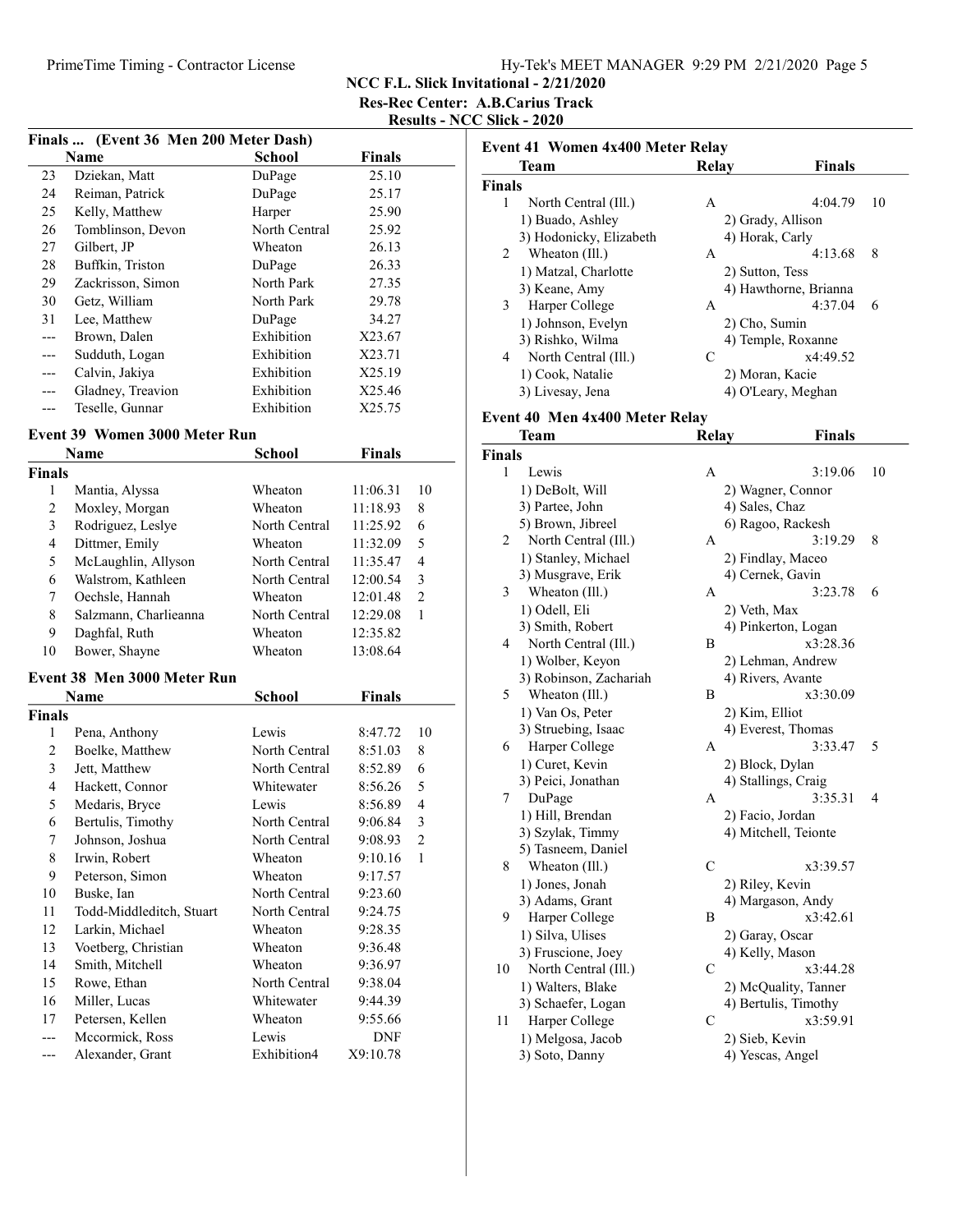NCC F.L. Slick Invitational - 2/21/2020

Res-Rec Center: A.B.Carius Track

Results - NCC Slick - 2020

|                | Finals  (Event 36 Men 200 Meter Dash) |                |                      |                |
|----------------|---------------------------------------|----------------|----------------------|----------------|
|                | Name                                  | <b>School</b>  | <b>Finals</b>        |                |
| 23             | Dziekan, Matt                         | DuPage         | 25.10                |                |
| 24             | Reiman, Patrick                       | DuPage         | 25.17                |                |
| 25             | Kelly, Matthew                        | Harper         | 25.90                |                |
| 26             | Tomblinson, Devon                     | North Central  | 25.92                |                |
| 27             | Gilbert, JP                           | Wheaton        | 26.13                |                |
| 28             | Buffkin, Triston                      | DuPage         | 26.33                |                |
| 29             | Zackrisson, Simon                     | North Park     | 27.35                |                |
| 30             | Getz, William                         | North Park     | 29.78                |                |
| 31             | Lee, Matthew                          | DuPage         | 34.27                |                |
| ---            | Brown, Dalen                          | Exhibition     | X23.67               |                |
| ---            | Sudduth, Logan                        | Exhibition     | X23.71               |                |
| ---            | Calvin, Jakiya                        | Exhibition     | X25.19               |                |
| ---            | Gladney, Treavion                     | Exhibition     | X25.46               |                |
| ---            | Teselle, Gunnar                       | Exhibition     | X25.75               |                |
|                | <b>Event 39 Women 3000 Meter Run</b>  |                |                      |                |
|                | Name                                  | <b>School</b>  | <b>Finals</b>        |                |
| <b>Finals</b>  |                                       |                |                      |                |
| 1              | Mantia, Alyssa                        | Wheaton        | 11:06.31             | 10             |
| 2              | Moxley, Morgan                        | <b>Wheaton</b> | 11:18.93             | 8              |
| 3              | Rodriguez, Leslye                     | North Central  | 11:25.92             | 6              |
| $\overline{4}$ | Dittmer, Emily                        | Wheaton        | 11:32.09             | 5              |
| 5              | McLaughlin, Allyson                   | North Central  | 11:35.47             | 4              |
| 6              | Walstrom, Kathleen                    | North Central  | 12:00.54             | 3              |
| 7              |                                       | Wheaton        |                      | $\overline{2}$ |
| 8              | Oechsle, Hannah                       | North Central  | 12:01.48<br>12:29.08 | 1              |
| 9              | Salzmann, Charlieanna                 | Wheaton        | 12:35.82             |                |
| 10             | Daghfal, Ruth<br>Bower, Shayne        | Wheaton        | 13:08.64             |                |
|                |                                       |                |                      |                |
|                | Event 38 Men 3000 Meter Run           |                |                      |                |
|                | Name                                  | <b>School</b>  | <b>Finals</b>        |                |
| <b>Finals</b>  |                                       |                |                      |                |
| 1              | Pena, Anthony                         | Lewis          | 8:47.72              | 10             |
| 2              | Boelke, Matthew                       | North Central  | 8:51.03              | 8              |
| 3              | Jett, Matthew                         | North Central  | 8:52.89              | 6              |
| $\overline{4}$ | Hackett, Connor                       | Whitewater     | 8:56.26              | 5              |
| 5              | Medaris, Bryce                        | Lewis          | 8:56.89              | 4              |
| 6              | Bertulis, Timothy                     | North Central  | 9:06.84              | 3              |
| 7              | Johnson, Joshua                       | North Central  | 9:08.93              | 2              |
| 8              | Irwin, Robert                         | Wheaton        | 9:10.16              | 1              |
| 9              | Peterson, Simon                       | Wheaton        | 9:17.57              |                |
| 10             | Buske, Ian                            | North Central  | 9:23.60              |                |
| 11             | Todd-Middleditch, Stuart              | North Central  | 9:24.75              |                |
| 12             | Larkin, Michael                       | Wheaton        | 9:28.35              |                |
| 13             | Voetberg, Christian                   | Wheaton        | 9:36.48              |                |
| 14             | Smith, Mitchell                       | Wheaton        | 9:36.97              |                |
| 15             | Rowe, Ethan                           | North Central  | 9:38.04              |                |
| 16             | Miller, Lucas                         | Whitewater     | 9:44.39              |                |
| 17             | Petersen, Kellen                      | Wheaton        | 9:55.66              |                |
| ---            | Mccormick, Ross                       | Lewis          | DNF                  |                |
| ---            | Alexander, Grant                      | Exhibition4    | X9:10.78             |                |

|        | Team                    | Relay           | <b>Finals</b>         |    |
|--------|-------------------------|-----------------|-----------------------|----|
| Finals |                         |                 |                       |    |
| 1      | North Central (Ill.)    | A               | 4:04.79               | 10 |
|        | 1) Buado, Ashley        |                 | 2) Grady, Allison     |    |
|        | 3) Hodonicky, Elizabeth | 4) Horak, Carly |                       |    |
| 2      | Wheaton (Ill.)          | A               | 4:13.68               | 8  |
|        | 1) Matzal, Charlotte    | 2) Sutton, Tess |                       |    |
|        | 3) Keane, Amy           |                 | 4) Hawthorne, Brianna |    |
| 3      | Harper College          | A               | 4:37.04               | 6  |
|        | 1) Johnson, Evelyn      | 2) Cho, Sumin   |                       |    |
|        | 3) Rishko, Wilma        |                 | 4) Temple, Roxanne    |    |
| 4      | North Central (Ill.)    | C               | x4:49.52              |    |
|        | 1) Cook, Natalie        | 2) Moran, Kacie |                       |    |
|        | 3) Livesay, Jena        |                 | 4) O'Leary, Meghan    |    |

### Event 40 Men 4x400 Meter Relay

|               | Team                   | <b>Relay</b>   | <b>Finals</b>        |    |
|---------------|------------------------|----------------|----------------------|----|
| <b>Finals</b> |                        |                |                      |    |
| 1             | Lewis                  | Α              | 3:19.06              | 10 |
|               | 1) DeBolt, Will        |                | 2) Wagner, Connor    |    |
|               | 3) Partee, John        |                | 4) Sales, Chaz       |    |
|               | 5) Brown, Jibreel      |                | 6) Ragoo, Rackesh    |    |
| 2             | North Central (Ill.)   | А              | 3:19.29              | 8  |
|               | 1) Stanley, Michael    |                | 2) Findlay, Maceo    |    |
|               | 3) Musgrave, Erik      |                | 4) Cernek, Gavin     |    |
| 3             | Wheaton (Ill.)         | А              | 3:23.78              | 6  |
|               | 1) Odell, Eli          | 2) Veth, Max   |                      |    |
|               | 3) Smith, Robert       |                | 4) Pinkerton, Logan  |    |
| 4             | North Central (Ill.)   | B              | x3:28.36             |    |
|               | 1) Wolber, Keyon       |                | 2) Lehman, Andrew    |    |
|               | 3) Robinson, Zachariah |                | 4) Rivers, Avante    |    |
| 5             | Wheaton (Ill.)         | B              | x3:30.09             |    |
|               | 1) Van Os, Peter       | 2) Kim, Elliot |                      |    |
|               | 3) Struebing, Isaac    |                | 4) Everest, Thomas   |    |
| 6             | Harper College         | Α              | 3:33.47              | 5  |
|               | 1) Curet, Kevin        |                | 2) Block, Dylan      |    |
|               | 3) Peici, Jonathan     |                | 4) Stallings, Craig  |    |
| 7             | DuPage                 | А              | 3:35.31              | 4  |
|               | 1) Hill, Brendan       |                | 2) Facio, Jordan     |    |
|               | 3) Szylak, Timmy       |                | 4) Mitchell, Teionte |    |
|               | 5) Tasneem, Daniel     |                |                      |    |
| 8             | Wheaton (Ill.)         | $\mathcal{C}$  | x3:39.57             |    |
|               | 1) Jones, Jonah        |                | 2) Riley, Kevin      |    |
|               | 3) Adams, Grant        |                | 4) Margason, Andy    |    |
| 9             | Harper College         | Β              | x3:42.61             |    |
|               | 1) Silva, Ulises       |                | 2) Garay, Oscar      |    |
|               | 3) Fruscione, Joey     |                | 4) Kelly, Mason      |    |
| 10            | North Central (Ill.)   | С              | x3:44.28             |    |
|               | 1) Walters, Blake      |                | 2) McQuality, Tanner |    |
|               | 3) Schaefer, Logan     |                | 4) Bertulis, Timothy |    |
| 11            | Harper College         | С              | x3:59.91             |    |
|               | 1) Melgosa, Jacob      |                | 2) Sieb, Kevin       |    |
|               | 3) Soto, Danny         |                | 4) Yescas, Angel     |    |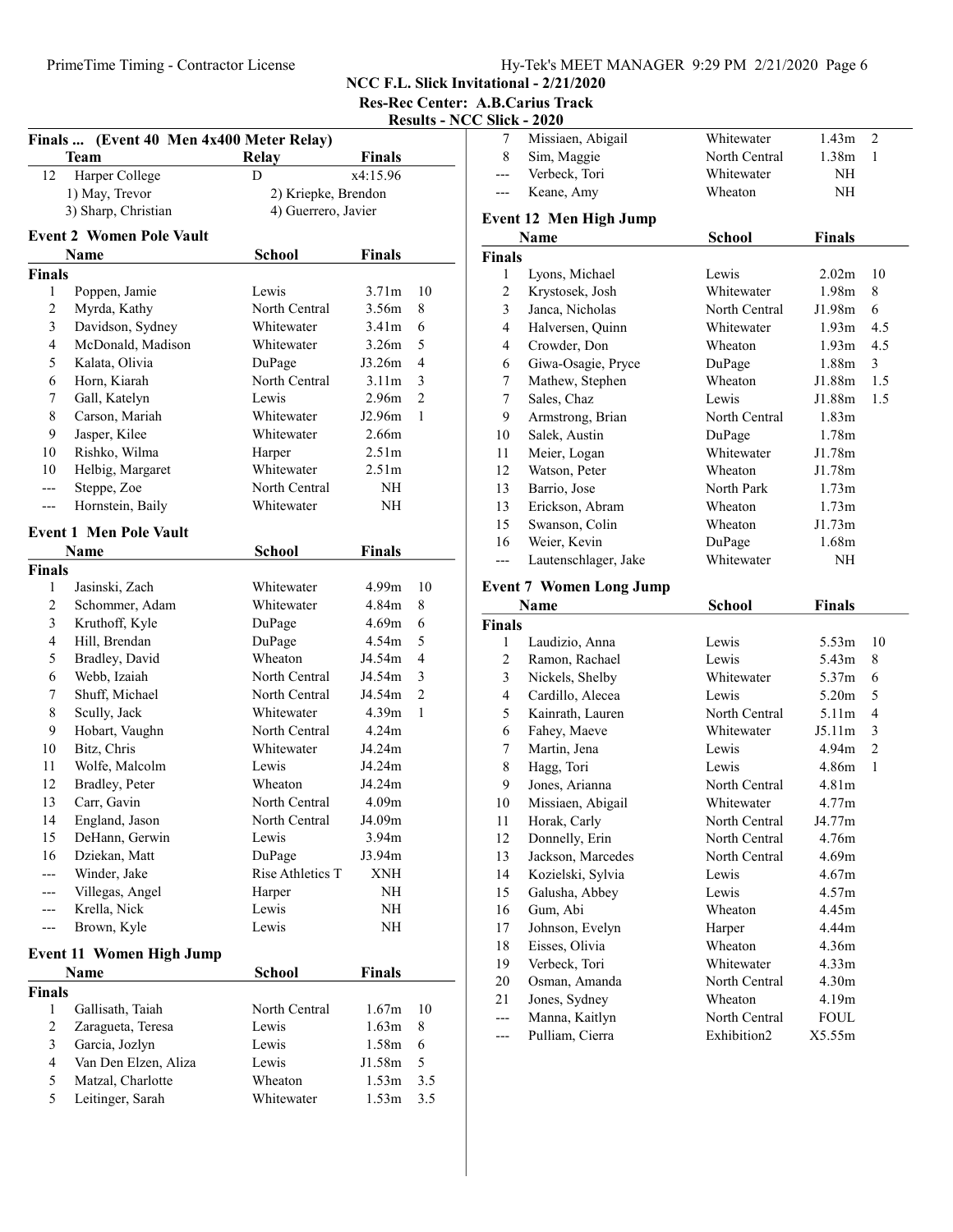NCC F.L. Slick Invitational - 2/21/2020

Res-Rec Center: A.B.Carius Track

| <b>Results - NCC Slick - 2020</b> |  |  |  |
|-----------------------------------|--|--|--|
|                                   |  |  |  |

| Finals  (Event 40 Men 4x400 Meter Relay) |                                 |                     |                   |                |  |
|------------------------------------------|---------------------------------|---------------------|-------------------|----------------|--|
|                                          | <b>Team</b>                     | <b>Relay</b>        | <b>Finals</b>     |                |  |
| 12                                       | Harper College                  | D                   | x4:15.96          |                |  |
|                                          | 1) May, Trevor                  | 2) Kriepke, Brendon |                   |                |  |
| 3) Sharp, Christian                      |                                 | 4) Guerrero, Javier |                   |                |  |
|                                          | <b>Event 2 Women Pole Vault</b> |                     |                   |                |  |
|                                          | Name                            | School              | <b>Finals</b>     |                |  |
| Finals                                   |                                 |                     |                   |                |  |
| 1                                        | Poppen, Jamie                   | Lewis               | 3.71 <sub>m</sub> | 10             |  |
| 2                                        | Myrda, Kathy                    | North Central       | 3.56m             | 8              |  |
| 3                                        | Davidson, Sydney                | Whitewater          | 3.41 <sub>m</sub> | 6              |  |
| 4                                        | McDonald, Madison               | Whitewater          | 3.26m             | 5              |  |
| 5                                        | Kalata, Olivia                  | DuPage              | J3.26m            | 4              |  |
| 6                                        | Horn, Kiarah                    | North Central       | 3.11 <sub>m</sub> | 3              |  |
| 7                                        | Gall, Katelyn                   | Lewis               | 2.96m             | $\overline{2}$ |  |
| 8                                        | Carson, Mariah                  | Whitewater          | J2.96m            | 1              |  |
| 9                                        | Jasper, Kilee                   | Whitewater          | 2.66m             |                |  |
| 10                                       | Rishko, Wilma                   | Harper              | 2.51 <sub>m</sub> |                |  |
| 10                                       | Helbig, Margaret                | Whitewater          | 2.51 <sub>m</sub> |                |  |
| ---                                      | Steppe, Zoe                     | North Central       | NH                |                |  |
|                                          | Hornstein, Baily                | Whitewater          | NΗ                |                |  |
|                                          |                                 |                     |                   |                |  |
|                                          | <b>Event 1 Men Pole Vault</b>   |                     |                   |                |  |
|                                          | Name                            | School              | <b>Finals</b>     |                |  |
| <b>Finals</b>                            |                                 |                     |                   |                |  |
| 1                                        | Jasinski, Zach                  | Whitewater          | 4.99m             | 10             |  |
| 2                                        | Schommer, Adam                  | Whitewater          | 4.84m             | 8              |  |
| 3                                        | Kruthoff, Kyle                  | DuPage              | 4.69 <sub>m</sub> | 6              |  |
| 4                                        | Hill, Brendan                   | DuPage              | 4.54 <sub>m</sub> | 5              |  |
| 5                                        | Bradley, David                  | Wheaton             | J4.54m            | 4              |  |
| 6                                        | Webb, Izaiah                    | North Central       | J4.54m            | 3              |  |
| 7                                        | Shuff, Michael                  | North Central       | J4.54m            | $\overline{c}$ |  |
| 8                                        | Scully, Jack                    | Whitewater          | 4.39m             | 1              |  |
| 9                                        | Hobart, Vaughn                  | North Central       | 4.24 <sub>m</sub> |                |  |
| 10                                       | Bitz, Chris                     | Whitewater          | J4.24m            |                |  |
| 11                                       | Wolfe, Malcolm                  | Lewis               | J4.24m            |                |  |
| 12                                       | Bradley, Peter                  | Wheaton             | J4.24m            |                |  |
| 13                                       | Carr, Gavin                     | North Central       | 4.09 <sub>m</sub> |                |  |
| 14                                       | England, Jason                  | North Central       | J4.09m            |                |  |
| 15                                       | DeHann, Gerwin                  | Lewis               | 3.94 <sub>m</sub> |                |  |
| 16                                       | Dziekan, Matt                   | DuPage              | J3.94m            |                |  |
| ---                                      | Winder, Jake                    | Rise Athletics T    | <b>XNH</b>        |                |  |
| ---                                      | Villegas, Angel                 | Harper              | NH                |                |  |
| ---                                      | Krella, Nick                    | Lewis               | NH                |                |  |
| ---                                      | Brown, Kyle                     | Lewis               | NH                |                |  |
|                                          | <b>Event 11 Women High Jump</b> |                     |                   |                |  |
|                                          | Name                            | School              | <b>Finals</b>     |                |  |
| Finals                                   |                                 |                     |                   |                |  |
| 1                                        | Gallisath, Taiah                | North Central       | 1.67m             | 10             |  |
| 2                                        | Zaragueta, Teresa               | Lewis               | 1.63m             | 8              |  |
| 3                                        | Garcia, Jozlyn                  | Lewis               | 1.58m             | 6              |  |
| 4                                        | Van Den Elzen, Aliza            | Lewis               | J1.58m            | 5              |  |
| 5                                        | Matzal, Charlotte               | Wheaton             | 1.53m             | 3.5            |  |
| 5                                        | Leitinger, Sarah                | Whitewater          | 1.53m             | 3.5            |  |
|                                          |                                 |                     |                   |                |  |

| 7              | Missiaen, Abigail                 | Whitewater                   | 1.43m             | 2              |
|----------------|-----------------------------------|------------------------------|-------------------|----------------|
| 8              | Sim, Maggie                       | North Central                | 1.38m             | 1              |
| $---$          | Verbeck, Tori                     | Whitewater                   | NH                |                |
| ---            | Keane, Amy                        | Wheaton                      | NH                |                |
|                | <b>Event 12 Men High Jump</b>     |                              |                   |                |
|                | Name                              | <b>School</b>                | Finals            |                |
| <b>Finals</b>  |                                   |                              |                   |                |
| 1              | Lyons, Michael                    | Lewis                        | 2.02 <sub>m</sub> | 10             |
| 2              | Krystosek, Josh                   | Whitewater                   | 1.98m             | 8              |
| 3              | Janca, Nicholas                   | North Central                | J1.98m            | 6              |
| $\overline{4}$ | Halversen, Quinn                  | Whitewater                   | 1.93 <sub>m</sub> | 4.5            |
| $\overline{4}$ | Crowder, Don                      | Wheaton                      | 1.93 <sub>m</sub> | 4.5            |
| 6              | Giwa-Osagie, Pryce                | DuPage                       | 1.88m             | 3              |
| 7              | Mathew, Stephen                   | Wheaton                      | J1.88m            | 1.5            |
| 7              | Sales, Chaz                       | Lewis                        | J1.88m            | 1.5            |
| 9              | Armstrong, Brian                  | North Central                | 1.83 <sub>m</sub> |                |
| 10             | Salek, Austin                     | DuPage                       | 1.78m             |                |
| 11             | Meier, Logan                      | Whitewater                   | J1.78m            |                |
| 12             | Watson, Peter                     | Wheaton                      | J1.78m            |                |
| 13             | Barrio, Jose                      | North Park                   | 1.73 <sub>m</sub> |                |
| 13             | Erickson, Abram                   | Wheaton                      | 1.73m             |                |
| 15             | Swanson, Colin                    | Wheaton                      | J1.73m            |                |
| 16             | Weier, Kevin                      | DuPage                       | 1.68m             |                |
| ---            | Lautenschlager, Jake              | Whitewater                   | NH                |                |
|                |                                   |                              |                   |                |
|                |                                   |                              |                   |                |
|                | <b>Event 7 Women Long Jump</b>    |                              |                   |                |
|                | Name                              | School                       | Finals            |                |
| <b>Finals</b>  |                                   |                              |                   |                |
| 1              | Laudizio, Anna                    | Lewis                        | 5.53 <sub>m</sub> | 10             |
| 2              | Ramon, Rachael                    | Lewis                        | 5.43m             | 8              |
| 3              | Nickels, Shelby                   | Whitewater                   | 5.37m             | 6              |
| 4              | Cardillo, Alecea                  | Lewis                        | 5.20m             | 5              |
| 5              | Kainrath, Lauren                  | North Central                | 5.11 <sub>m</sub> | 4              |
| 6              | Fahey, Maeve                      | Whitewater                   | J5.11m            | 3              |
| 7              | Martin, Jena                      | Lewis                        | 4.94m             | $\overline{2}$ |
| 8              | Hagg, Tori                        | Lewis                        | 4.86m             | 1              |
| 9              | Jones, Arianna                    | North Central                | 4.81 <sub>m</sub> |                |
| 10             | Missiaen, Abigail                 | Whitewater                   | 4.77m             |                |
| 11             | Horak, Carly                      | North Central                | J4.77m            |                |
| 12             | Donnelly, Erin                    | North Central                | 4.76m             |                |
| 13             | Jackson, Marcedes                 | North Central                | 4.69m             |                |
| 14             | Kozielski, Sylvia                 | Lewis                        | 4.67m             |                |
| 15             | Galusha, Abbey                    | Lewis                        | 4.57m             |                |
| 16             | Gum, Abi                          | Wheaton                      | 4.45m             |                |
| 17             | Johnson, Evelyn                   | Harper                       | 4.44m             |                |
| 18             | Eisses, Olivia                    | Wheaton                      | 4.36m             |                |
| 19             | Verbeck, Tori                     | Whitewater                   | 4.33m             |                |
| 20             | Osman, Amanda                     | North Central                | 4.30m             |                |
| 21             | Jones, Sydney                     | Wheaton                      | 4.19m             |                |
| ---<br>---     | Manna, Kaitlyn<br>Pulliam, Cierra | North Central<br>Exhibition2 | FOUL<br>X5.55m    |                |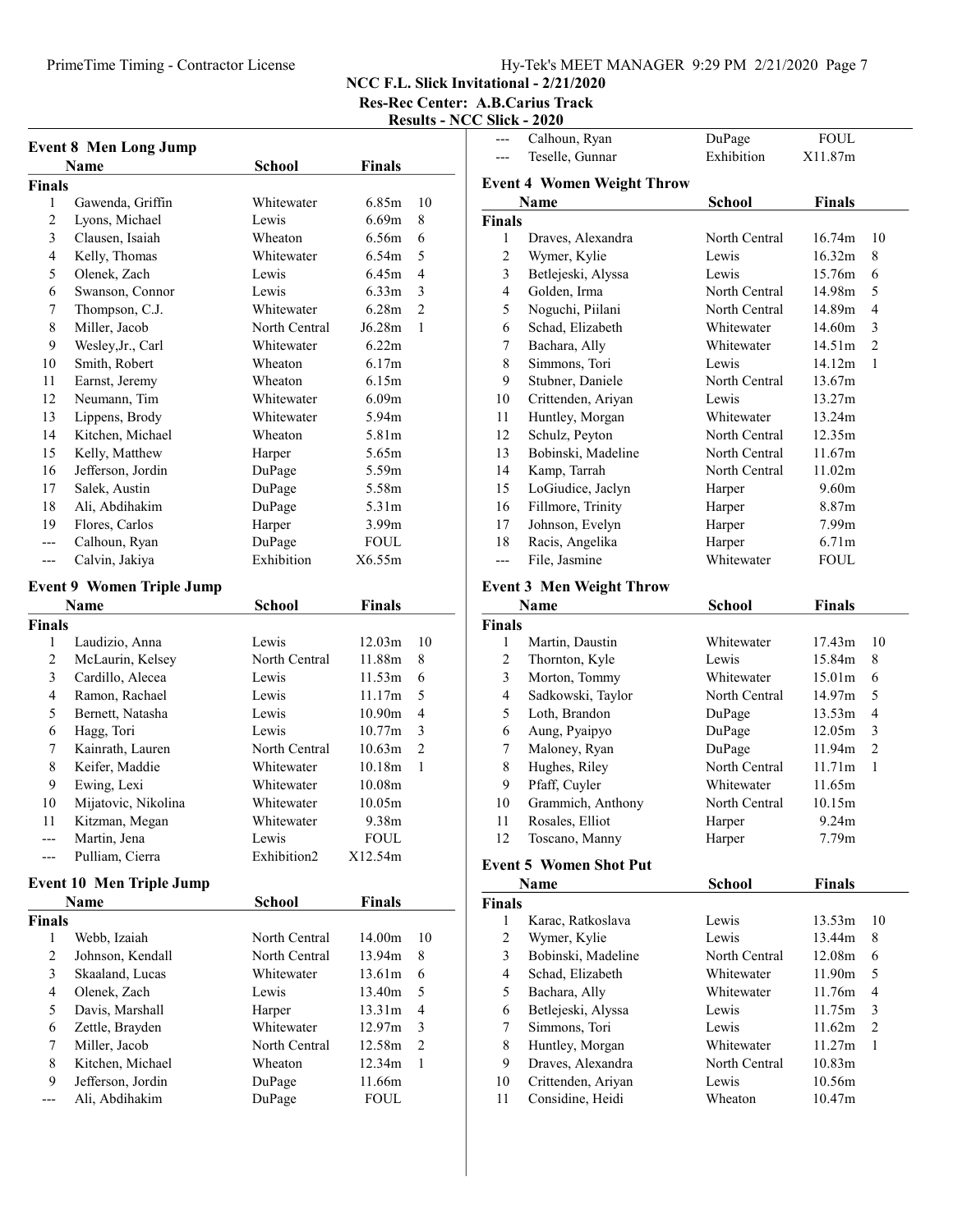# PrimeTime Timing - Contractor License Hy-Tek's MEET MANAGER 9:29 PM 2/21/2020 Page 7

NCC F.L. Slick Invitational - 2/21/2020

Res-Rec Center: A.B.Carius Track

### Results - NCC Slick - 2020 --- Calhoun, Ryan DuPage FOUL

| <b>Event 8 Men Long Jump</b> |                                  |                                |                    |                |
|------------------------------|----------------------------------|--------------------------------|--------------------|----------------|
|                              | <b>Name</b>                      | <b>School</b>                  | <b>Finals</b>      |                |
| <b>Finals</b>                |                                  |                                |                    |                |
| 1                            | Gawenda, Griffin                 | Whitewater                     | 6.85m              | 10             |
| 2                            | Lyons, Michael                   | Lewis                          | 6.69m              | 8              |
| 3                            | Clausen, Isaiah                  | Wheaton                        | 6.56m              | 6              |
| 4                            | Kelly, Thomas                    | Whitewater                     | 6.54m              | 5              |
| 5                            | Olenek, Zach                     | Lewis                          | 6.45m              | 4              |
| 6                            | Swanson, Connor                  | Lewis                          | 6.33 <sub>m</sub>  | 3              |
| 7                            | Thompson, C.J.                   | Whitewater                     | 6.28m              | $\overline{2}$ |
| 8                            | Miller, Jacob                    | North Central                  | J6.28m             | 1              |
| 9                            | Wesley, Jr., Carl                | Whitewater                     | 6.22m              |                |
| 10                           | Smith, Robert                    | Wheaton                        | 6.17m              |                |
| 11                           | Earnst, Jeremy                   | Wheaton                        | 6.15m              |                |
| 12                           | Neumann, Tim                     | Whitewater                     | 6.09 <sub>m</sub>  |                |
| 13                           | Lippens, Brody                   | Whitewater                     | 5.94m              |                |
| 14                           | Kitchen, Michael                 | Wheaton                        | 5.81m              |                |
| 15                           | Kelly, Matthew                   | Harper                         | 5.65m              |                |
| 16                           | Jefferson, Jordin                | DuPage                         | 5.59m              |                |
| 17                           | Salek, Austin                    | DuPage                         | 5.58m              |                |
| 18                           | Ali, Abdihakim                   | DuPage                         | 5.31m              |                |
| 19                           | Flores, Carlos                   | Harper                         | 3.99m              |                |
| ---                          | Calhoun, Ryan                    | DuPage                         | <b>FOUL</b>        |                |
| ---                          | Calvin, Jakiya                   | Exhibition                     | X6.55m             |                |
|                              | <b>Event 9 Women Triple Jump</b> |                                |                    |                |
|                              | Name                             | School                         | <b>Finals</b>      |                |
| <b>Finals</b>                |                                  |                                |                    |                |
| 1                            | Laudizio, Anna                   | Lewis                          | 12.03 <sub>m</sub> | 10             |
| $\overline{c}$               | McLaurin, Kelsey                 | North Central                  | 11.88m             | 8              |
| 3                            | Cardillo, Alecea                 | Lewis                          | 11.53m             | 6              |
| $\overline{4}$               | Ramon, Rachael                   | Lewis                          | 11.17m             | 5              |
| 5                            | Bernett, Natasha                 | Lewis                          | 10.90 <sub>m</sub> | 4              |
| 6                            | Hagg, Tori                       | Lewis                          | 10.77m             | 3              |
| 7                            | Kainrath, Lauren                 | North Central                  | 10.63m             | 2              |
| 8                            | Keifer, Maddie                   | Whitewater                     | 10.18m             | 1              |
| 9                            | Ewing, Lexi                      | Whitewater                     | 10.08m             |                |
| 10                           | Mijatovic, Nikolina              | Whitewater                     | 10.05m             |                |
| 11                           | Kitzman, Megan                   | Whitewater                     | 9.38m              |                |
|                              | Martin, Jena                     | Lewis                          | <b>FOUL</b>        |                |
| ---                          | Pulliam, Cierra                  | Exhibition2                    | X12.54m            |                |
|                              |                                  |                                |                    |                |
|                              | <b>Event 10 Men Triple Jump</b>  |                                |                    |                |
|                              | Name                             | <b>School</b>                  | <b>Finals</b>      |                |
| <b>Finals</b><br>1           |                                  |                                |                    | 10             |
|                              | Webb, Izaiah                     | North Central<br>North Central | 14.00m<br>13.94m   |                |
| 2<br>3                       | Johnson, Kendall                 | Whitewater                     | 13.61m             | 8<br>6         |
| $\overline{4}$               | Skaaland, Lucas                  |                                |                    |                |
|                              | Olenek, Zach                     | Lewis                          | 13.40m             | 5              |
| 5                            | Davis, Marshall                  | Harper                         | 13.31m             | $\overline{4}$ |
| 6                            | Zettle, Brayden                  | Whitewater                     | 12.97m             | 3              |
| 7                            | Miller, Jacob                    | North Central                  | 12.58m             | $\overline{2}$ |
| $\,$ 8 $\,$                  | Kitchen, Michael                 | Wheaton                        | 12.34m             | 1              |
| 9                            | Jefferson, Jordin                | DuPage                         | 11.66m             |                |
| ---                          | Ali, Abdihakim                   | DuPage                         | <b>FOUL</b>        |                |

|                                   | Teselle, Gunnar                 | Exhibition    | X11.87m           |                |  |
|-----------------------------------|---------------------------------|---------------|-------------------|----------------|--|
| <b>Event 4 Women Weight Throw</b> |                                 |               |                   |                |  |
|                                   | Name                            | School        | <b>Finals</b>     |                |  |
| Finals                            |                                 |               |                   |                |  |
| 1                                 | Draves, Alexandra               | North Central | 16.74m            | 10             |  |
| $\overline{c}$                    | Wymer, Kylie                    | Lewis         | 16.32m            | 8              |  |
| 3                                 | Betlejeski, Alyssa              | Lewis         | 15.76m            | 6              |  |
| 4                                 | Golden, Irma                    | North Central | 14.98m            | 5              |  |
| 5                                 | Noguchi, Piilani                | North Central | 14.89m            | 4              |  |
| 6                                 | Schad, Elizabeth                | Whitewater    | 14.60m            | 3              |  |
| 7                                 | Bachara, Ally                   | Whitewater    | 14.51m            | 2              |  |
| 8                                 | Simmons, Tori                   | Lewis         | 14.12m            | 1              |  |
| 9                                 | Stubner, Daniele                | North Central | 13.67m            |                |  |
| 10                                | Crittenden, Ariyan              | Lewis         | 13.27m            |                |  |
| 11                                | Huntley, Morgan                 | Whitewater    | 13.24m            |                |  |
| 12                                | Schulz, Peyton                  | North Central | 12.35m            |                |  |
| 13                                | Bobinski, Madeline              | North Central | 11.67m            |                |  |
| 14                                | Kamp, Tarrah                    | North Central | 11.02m            |                |  |
| 15                                | LoGiudice, Jaclyn               | Harper        | 9.60m             |                |  |
| 16                                | Fillmore, Trinity               | Harper        | 8.87m             |                |  |
| 17                                | Johnson, Evelyn                 | Harper        | 7.99m             |                |  |
| 18                                | Racis, Angelika                 | Harper        | 6.71 <sub>m</sub> |                |  |
| $---$                             | File, Jasmine                   | Whitewater    | FOUL              |                |  |
|                                   |                                 |               |                   |                |  |
|                                   | <b>Event 3 Men Weight Throw</b> |               |                   |                |  |
|                                   | Name                            | School        | <b>Finals</b>     |                |  |
| Finals                            |                                 |               |                   |                |  |
| 1                                 | Martin, Daustin                 | Whitewater    | 17.43m            | 10             |  |
| $\mathfrak{2}$                    | Thornton, Kyle                  | Lewis         | 15.84m            | 8              |  |
| 3                                 | Morton, Tommy                   | Whitewater    | 15.01m            | 6              |  |
| $\overline{4}$                    | Sadkowski, Taylor               | North Central | 14.97m            | 5              |  |
| 5                                 | Loth, Brandon                   | DuPage        | 13.53m            | $\overline{4}$ |  |
| 6                                 | Aung, Pyaipyo                   | DuPage        | 12.05m            | 3              |  |
| 7                                 | Maloney, Ryan                   | DuPage        | 11.94m            | 2              |  |
| 8                                 | Hughes, Riley                   | North Central | 11.71m            | 1              |  |
| 9                                 | Pfaff, Cuyler                   | Whitewater    | 11.65m            |                |  |
| 10                                | Grammich, Anthony               | North Central | 10.15m            |                |  |
| 11                                | Rosales, Elliot                 | Harper        | 9.24m             |                |  |
| 12                                | Toscano, Manny                  | Harper        | 7.79m             |                |  |
| <b>Event 5 Women Shot Put</b>     |                                 |               |                   |                |  |
|                                   | Name                            | School        | <b>Finals</b>     |                |  |
| <b>Finals</b>                     |                                 |               |                   |                |  |
| 1                                 | Karac, Ratkoslava               | Lewis         | 13.53m            | 10             |  |
| $\overline{c}$                    | Wymer, Kylie                    | Lewis         | 13.44m            | 8              |  |
| 3                                 | Bobinski, Madeline              | North Central | 12.08m            | 6              |  |
| $\overline{4}$                    | Schad, Elizabeth                | Whitewater    | 11.90m            | 5              |  |
| 5                                 | Bachara, Ally                   | Whitewater    | 11.76m            | 4              |  |
| 6                                 | Betlejeski, Alyssa              | Lewis         | 11.75m            | 3              |  |
| 7                                 | Simmons, Tori                   | Lewis         | 11.62m            | $\overline{c}$ |  |
| 8                                 | Huntley, Morgan                 | Whitewater    | 11.27m            | 1              |  |
| 9                                 | Draves, Alexandra               | North Central | 10.83m            |                |  |
| 10                                | Crittenden, Ariyan              | Lewis         | 10.56m            |                |  |
| 11                                | Considine, Heidi                | Wheaton       | 10.47m            |                |  |
|                                   |                                 |               |                   |                |  |
|                                   |                                 |               |                   |                |  |